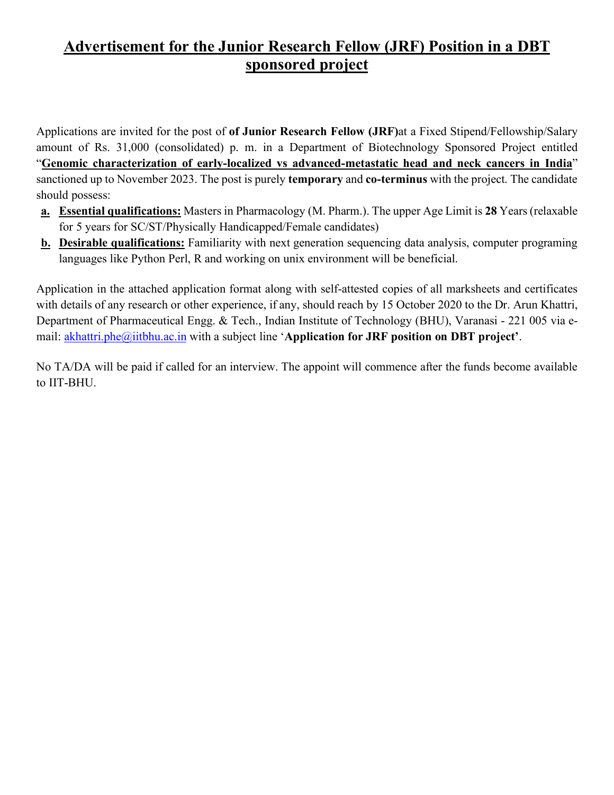## **Advertisement for the Junior Research Fellow (JRF) Position in a DBT sponsored project**

Applications are invited for the post of **of Junior Research Fellow (JRF)**at a Fixed Stipend/Fellowship/Salary amount of Rs. 31,000 (consolidated) p. m. in a Department of Biotechnology Sponsored Project entitled "**Genomic characterization of early-localized vs advanced-metastatic head and neck cancers in India**" sanctioned up to November 2023. The post is purely **temporary** and **co-terminus** with the project. The candidate should possess:

- **a. Essential qualifications:** Masters in Pharmacology (M. Pharm.). The upper Age Limit is **28** Years (relaxable for 5 years for SC/ST/Physically Handicapped/Female candidates)
- **b. Desirable qualifications:** Familiarity with next generation sequencing data analysis, computer programing languages like Python Perl, R and working on unix environment will be beneficial.

Application in the attached application format along with self-attested copies of all marksheets and certificates with details of any research or other experience, if any, should reach by 15 October 2020 to the Dr. Arun Khattri, Department of Pharmaceutical Engg. & Tech., Indian Institute of Technology (BHU), Varanasi - 221 005 via email: akhattri.phe@iitbhu.ac.in with a subject line '**Application for JRF position on DBT project'**.

No TA/DA will be paid if called for an interview. The appoint will commence after the funds become available to IIT-BHU.